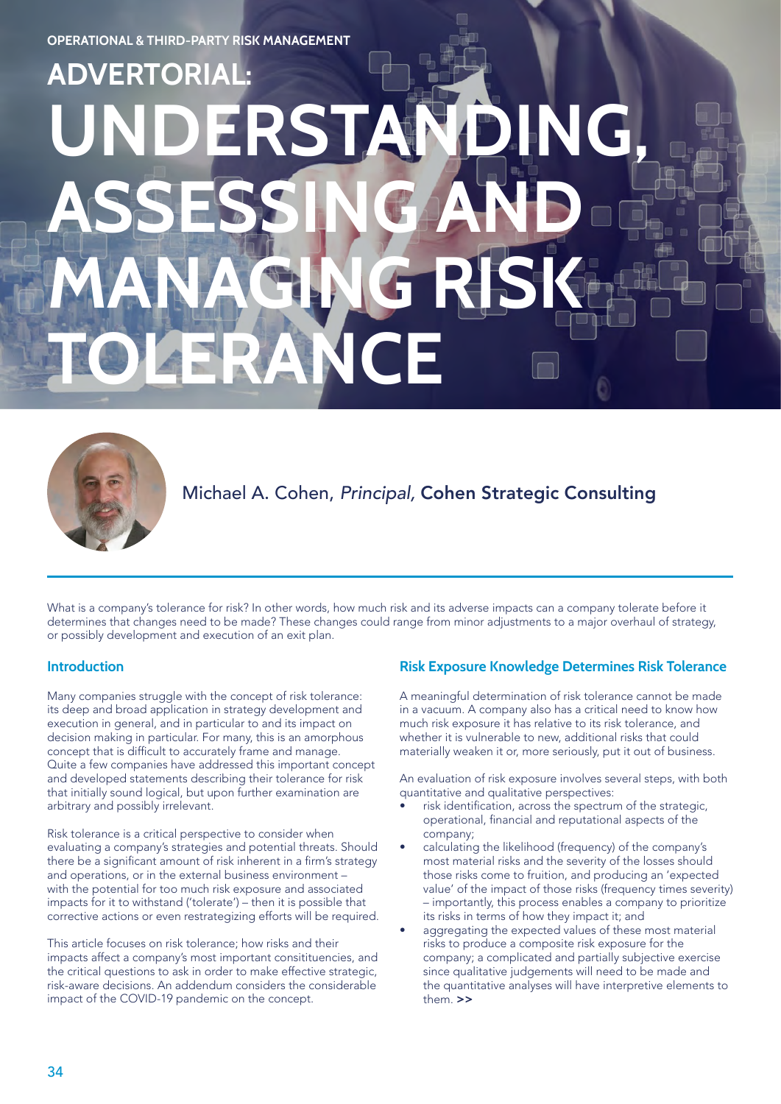# **UNDERSTANDING, ASSESSING AND MANAGING RISK TOLERANCE** ADVERTORI.



Michael A. Cohen, *Principal,* Cohen Strategic Consulting

What is a company's tolerance for risk? In other words, how much risk and its adverse impacts can a company tolerate before it determines that changes need to be made? These changes could range from minor adjustments to a major overhaul of strategy, or possibly development and execution of an exit plan.

### **Introduction**

Many companies struggle with the concept of risk tolerance: its deep and broad application in strategy development and execution in general, and in particular to and its impact on decision making in particular. For many, this is an amorphous concept that is difficult to accurately frame and manage. Quite a few companies have addressed this important concept and developed statements describing their tolerance for risk that initially sound logical, but upon further examination are arbitrary and possibly irrelevant.

Risk tolerance is a critical perspective to consider when evaluating a company's strategies and potential threats. Should there be a significant amount of risk inherent in a firm's strategy and operations, or in the external business environment – with the potential for too much risk exposure and associated impacts for it to withstand ('tolerate') – then it is possible that corrective actions or even restrategizing efforts will be required.

This article focuses on risk tolerance; how risks and their impacts affect a company's most important consitituencies, and the critical questions to ask in order to make effective strategic, risk-aware decisions. An addendum considers the considerable impact of the COVID-19 pandemic on the concept.

# **Risk Exposure Knowledge Determines Risk Tolerance**

A meaningful determination of risk tolerance cannot be made in a vacuum. A company also has a critical need to know how much risk exposure it has relative to its risk tolerance, and whether it is vulnerable to new, additional risks that could materially weaken it or, more seriously, put it out of business.

An evaluation of risk exposure involves several steps, with both quantitative and qualitative perspectives:

- risk identification, across the spectrum of the strategic, operational, financial and reputational aspects of the company;
- calculating the likelihood (frequency) of the company's most material risks and the severity of the losses should those risks come to fruition, and producing an 'expected value' of the impact of those risks (frequency times severity) – importantly, this process enables a company to prioritize its risks in terms of how they impact it; and
- aggregating the expected values of these most material risks to produce a composite risk exposure for the company; a complicated and partially subjective exercise since qualitative judgements will need to be made and the quantitative analyses will have interpretive elements to them >>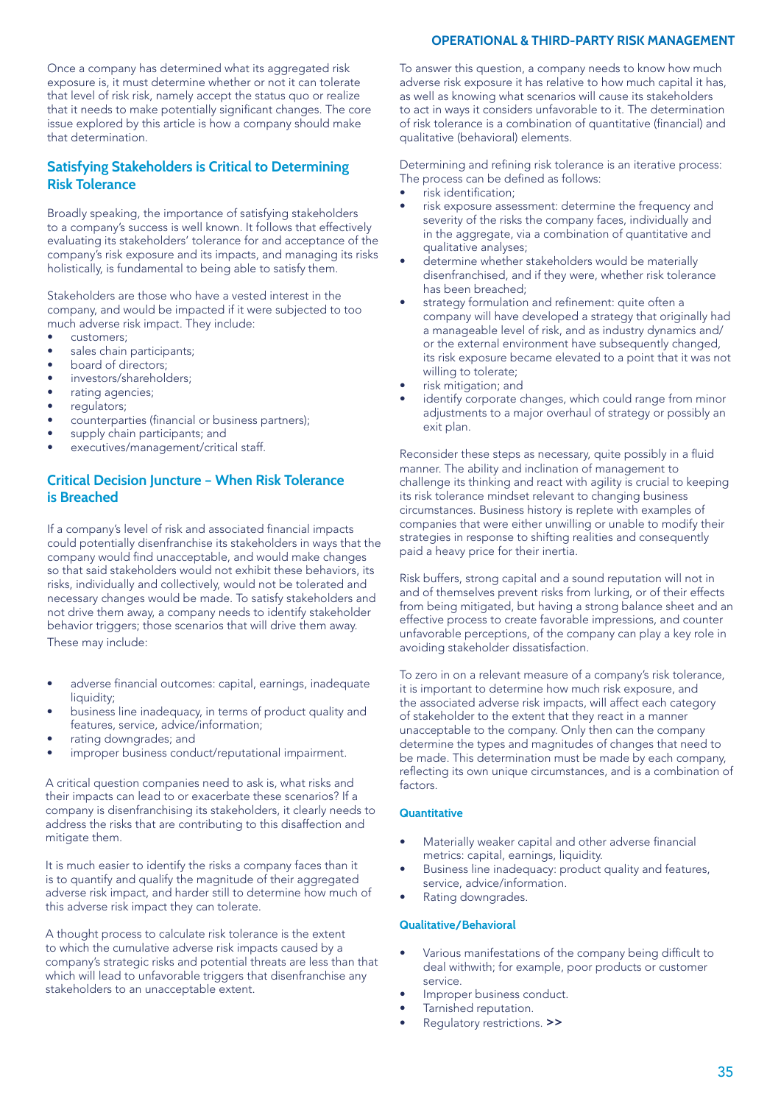#### **OPERATIONAL & THIRD-PARTY RISK MANAGEMENT**

Once a company has determined what its aggregated risk exposure is, it must determine whether or not it can tolerate that level of risk risk, namely accept the status quo or realize that it needs to make potentially significant changes. The core issue explored by this article is how a company should make that determination.

## **Satisfying Stakeholders is Critical to Determining Risk Tolerance**

Broadly speaking, the importance of satisfying stakeholders to a company's success is well known. It follows that effectively evaluating its stakeholders' tolerance for and acceptance of the company's risk exposure and its impacts, and managing its risks holistically, is fundamental to being able to satisfy them.

Stakeholders are those who have a vested interest in the company, and would be impacted if it were subjected to too much adverse risk impact. They include:

- customers;
- sales chain participants;
- board of directors;
- investors/shareholders;
- rating agencies;
- requiators:
- counterparties (financial or business partners);
- supply chain participants; and
- executives/management/critical staff.

## **Critical Decision Juncture – When Risk Tolerance is Breached**

If a company's level of risk and associated financial impacts could potentially disenfranchise its stakeholders in ways that the company would find unacceptable, and would make changes so that said stakeholders would not exhibit these behaviors, its risks, individually and collectively, would not be tolerated and necessary changes would be made. To satisfy stakeholders and not drive them away, a company needs to identify stakeholder behavior triggers; those scenarios that will drive them away. These may include:

- adverse financial outcomes: capital, earnings, inadequate liquidity:
- business line inadequacy, in terms of product quality and features, service, advice/information;
- rating downgrades; and
- improper business conduct/reputational impairment.

A critical question companies need to ask is, what risks and their impacts can lead to or exacerbate these scenarios? If a company is disenfranchising its stakeholders, it clearly needs to address the risks that are contributing to this disaffection and mitigate them.

It is much easier to identify the risks a company faces than it is to quantify and qualify the magnitude of their aggregated adverse risk impact, and harder still to determine how much of this adverse risk impact they can tolerate.

A thought process to calculate risk tolerance is the extent to which the cumulative adverse risk impacts caused by a company's strategic risks and potential threats are less than that which will lead to unfavorable triggers that disenfranchise any stakeholders to an unacceptable extent.

To answer this question, a company needs to know how much adverse risk exposure it has relative to how much capital it has, as well as knowing what scenarios will cause its stakeholders to act in ways it considers unfavorable to it. The determination of risk tolerance is a combination of quantitative (financial) and qualitative (behavioral) elements.

Determining and refining risk tolerance is an iterative process: The process can be defined as follows:

- risk identification;
- risk exposure assessment: determine the frequency and severity of the risks the company faces, individually and in the aggregate, via a combination of quantitative and qualitative analyses;
- determine whether stakeholders would be materially disenfranchised, and if they were, whether risk tolerance has been breached;
- strategy formulation and refinement: quite often a company will have developed a strategy that originally had a manageable level of risk, and as industry dynamics and/ or the external environment have subsequently changed, its risk exposure became elevated to a point that it was not willing to tolerate;
- risk mitigation; and
- identify corporate changes, which could range from minor adjustments to a major overhaul of strategy or possibly an exit plan.

Reconsider these steps as necessary, quite possibly in a fluid manner. The ability and inclination of management to challenge its thinking and react with agility is crucial to keeping its risk tolerance mindset relevant to changing business circumstances. Business history is replete with examples of companies that were either unwilling or unable to modify their strategies in response to shifting realities and consequently paid a heavy price for their inertia.

Risk buffers, strong capital and a sound reputation will not in and of themselves prevent risks from lurking, or of their effects from being mitigated, but having a strong balance sheet and an effective process to create favorable impressions, and counter unfavorable perceptions, of the company can play a key role in avoiding stakeholder dissatisfaction.

To zero in on a relevant measure of a company's risk tolerance, it is important to determine how much risk exposure, and the associated adverse risk impacts, will affect each category of stakeholder to the extent that they react in a manner unacceptable to the company. Only then can the company determine the types and magnitudes of changes that need to be made. This determination must be made by each company, reflecting its own unique circumstances, and is a combination of factors.

#### **Quantitative**

- Materially weaker capital and other adverse financial metrics: capital, earnings, liquidity.
- Business line inadequacy: product quality and features, service, advice/information.
- Rating downgrades.

#### **Qualitative/Behavioral**

- Various manifestations of the company being difficult to deal withwith; for example, poor products or customer service.
- Improper business conduct.
- Tarnished reputation.
- Regulatory restrictions. >>